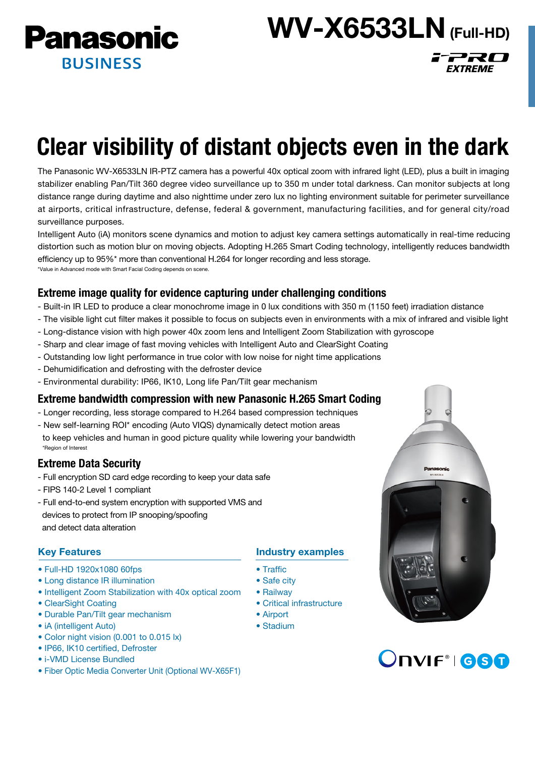**Panasonic BUSINESS** 

WV-X6533LN (Full-HD)

FPRO

**EXTREME** 

# Clear visibility of distant objects even in the dark

The Panasonic WV-X6533LN IR-PTZ camera has a powerful 40x optical zoom with infrared light (LED), plus a built in imaging stabilizer enabling Pan/Tilt 360 degree video surveillance up to 350 m under total darkness. Can monitor subjects at long distance range during daytime and also nighttime under zero lux no lighting environment suitable for perimeter surveillance at airports, critical infrastructure, defense, federal & government, manufacturing facilities, and for general city/road surveillance purposes.

Intelligent Auto (iA) monitors scene dynamics and motion to adjust key camera settings automatically in real-time reducing distortion such as motion blur on moving objects. Adopting H.265 Smart Coding technology, intelligently reduces bandwidth efficiency up to 95%\* more than conventional H.264 for longer recording and less storage. \*Value in Advanced mode with Smart Facial Coding depends on scene.

# Extreme image quality for evidence capturing under challenging conditions

- Built-in IR LED to produce a clear monochrome image in 0 lux conditions with 350 m (1150 feet) irradiation distance
- The visible light cut filter makes it possible to focus on subjects even in environments with a mix of infrared and visible light
- Long-distance vision with high power 40x zoom lens and Intelligent Zoom Stabilization with gyroscope
- Sharp and clear image of fast moving vehicles with Intelligent Auto and ClearSight Coating
- Outstanding low light performance in true color with low noise for night time applications
- Dehumidification and defrosting with the defroster device
- Environmental durability: IP66, IK10, Long life Pan/Tilt gear mechanism

## Extreme bandwidth compression with new Panasonic H.265 Smart Coding

- Longer recording, less storage compared to H.264 based compression techniques
- New self-learning ROI\* encoding (Auto VIQS) dynamically detect motion areas to keep vehicles and human in good picture quality while lowering your bandwidth \*Region of Interest

# Extreme Data Security

- Full encryption SD card edge recording to keep your data safe
- FIPS 140-2 Level 1 compliant
- Full end-to-end system encryption with supported VMS and devices to protect from IP snooping/spoofing and detect data alteration

## Key Features

- Full-HD 1920x1080 60fps
- Long distance IR illumination
- Intelligent Zoom Stabilization with 40x optical zoom
- ClearSight Coating
- Durable Pan/Tilt gear mechanism
- iA (intelligent Auto)
- Color night vision (0.001 to 0.015 lx)
- IP66, IK10 certified, Defroster
- i-VMD License Bundled
- Fiber Optic Media Converter Unit (Optional WV-X65F1)

## Industry examples

- Traffic
- Safe city
- Railway
- Critical infrastructure
- Airport
- Stadium



# Onvif<sup>®</sup> 680